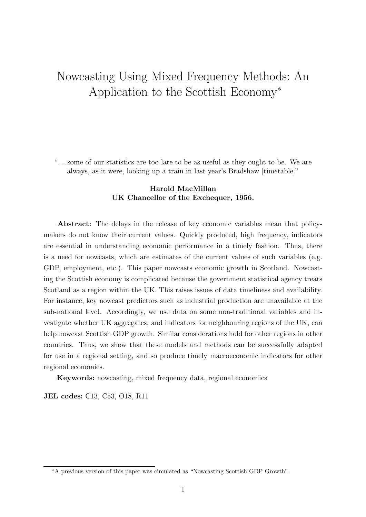# Nowcasting Using Mixed Frequency Methods: An Application to the Scottish Economy<sup>∗</sup>

". . . some of our statistics are too late to be as useful as they ought to be. We are always, as it were, looking up a train in last year's Bradshaw [timetable]"

#### Harold MacMillan UK Chancellor of the Exchequer, 1956.

Abstract: The delays in the release of key economic variables mean that policymakers do not know their current values. Quickly produced, high frequency, indicators are essential in understanding economic performance in a timely fashion. Thus, there is a need for nowcasts, which are estimates of the current values of such variables (e.g. GDP, employment, etc.). This paper nowcasts economic growth in Scotland. Nowcasting the Scottish economy is complicated because the government statistical agency treats Scotland as a region within the UK. This raises issues of data timeliness and availability. For instance, key nowcast predictors such as industrial production are unavailable at the sub-national level. Accordingly, we use data on some non-traditional variables and investigate whether UK aggregates, and indicators for neighbouring regions of the UK, can help nowcast Scottish GDP growth. Similar considerations hold for other regions in other countries. Thus, we show that these models and methods can be successfully adapted for use in a regional setting, and so produce timely macroeconomic indicators for other regional economies.

Keywords: nowcasting, mixed frequency data, regional economics

JEL codes: C13, C53, O18, R11

<sup>∗</sup>A previous version of this paper was circulated as "Nowcasting Scottish GDP Growth".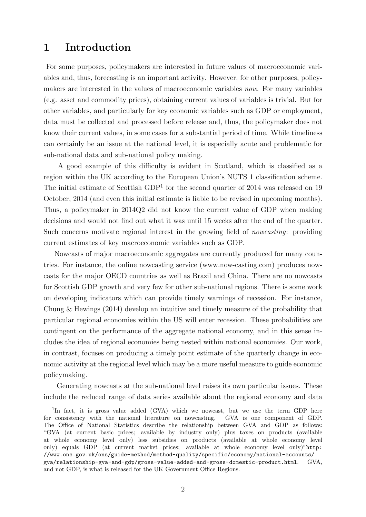### 1 Introduction

For some purposes, policymakers are interested in future values of macroeconomic variables and, thus, forecasting is an important activity. However, for other purposes, policymakers are interested in the values of macroeconomic variables now. For many variables (e.g. asset and commodity prices), obtaining current values of variables is trivial. But for other variables, and particularly for key economic variables such as GDP or employment, data must be collected and processed before release and, thus, the policymaker does not know their current values, in some cases for a substantial period of time. While timeliness can certainly be an issue at the national level, it is especially acute and problematic for sub-national data and sub-national policy making.

A good example of this difficulty is evident in Scotland, which is classified as a region within the UK according to the European Union's NUTS 1 classification scheme. The initial estimate of Scottish  $GDP<sup>1</sup>$  for the second quarter of 2014 was released on 19 October, 2014 (and even this initial estimate is liable to be revised in upcoming months). Thus, a policymaker in 2014Q2 did not know the current value of GDP when making decisions and would not find out what it was until 15 weeks after the end of the quarter. Such concerns motivate regional interest in the growing field of nowcasting: providing current estimates of key macroeconomic variables such as GDP.

Nowcasts of major macroeconomic aggregates are currently produced for many countries. For instance, the online nowcasting service (www.now-casting.com) produces nowcasts for the major OECD countries as well as Brazil and China. There are no nowcasts for Scottish GDP growth and very few for other sub-national regions. There is some work on developing indicators which can provide timely warnings of recession. For instance, Chung & Hewings (2014) develop an intuitive and timely measure of the probability that particular regional economies within the US will enter recession. These probabilities are contingent on the performance of the aggregate national economy, and in this sense includes the idea of regional economies being nested within national economies. Our work, in contrast, focuses on producing a timely point estimate of the quarterly change in economic activity at the regional level which may be a more useful measure to guide economic policymaking.

Generating nowcasts at the sub-national level raises its own particular issues. These include the reduced range of data series available about the regional economy and data

<sup>&</sup>lt;sup>1</sup>In fact, it is gross value added (GVA) which we nowcast, but we use the term GDP here for consistency with the national literature on nowcasting. GVA is one component of GDP. The Office of National Statistics describe the relationship between GVA and GDP as follows: "GVA (at current basic prices; available by industry only) plus taxes on products (available at whole economy level only) less subsidies on products (available at whole economy level only) equals GDP (at current market prices; available at whole economy level only)"http: //www.ons.gov.uk/ons/guide-method/method-quality/specific/economy/national-accounts/ gva/relationship-gva-and-gdp/gross-value-added-and-gross-domestic-product.html. GVA, and not GDP, is what is released for the UK Government Office Regions.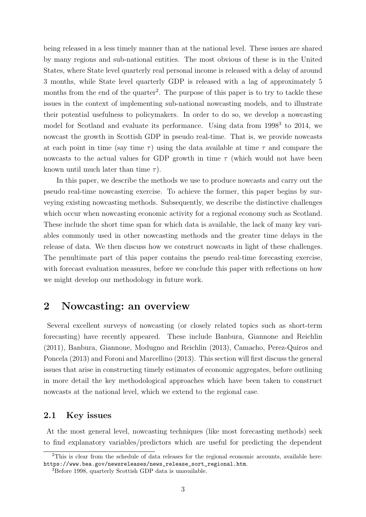being released in a less timely manner than at the national level. These issues are shared by many regions and sub-national entities. The most obvious of these is in the United States, where State level quarterly real personal income is released with a delay of around 3 months, while State level quarterly GDP is released with a lag of approximately 5 months from the end of the quarter<sup>2</sup>. The purpose of this paper is to try to tackle these issues in the context of implementing sub-national nowcasting models, and to illustrate their potential usefulness to policymakers. In order to do so, we develop a nowcasting model for Scotland and evaluate its performance. Using data from 1998<sup>3</sup> to 2014, we nowcast the growth in Scottish GDP in pseudo real-time. That is, we provide nowcasts at each point in time (say time  $\tau$ ) using the data available at time  $\tau$  and compare the nowcasts to the actual values for GDP growth in time  $\tau$  (which would not have been known until much later than time  $\tau$ ).

In this paper, we describe the methods we use to produce nowcasts and carry out the pseudo real-time nowcasting exercise. To achieve the former, this paper begins by surveying existing nowcasting methods. Subsequently, we describe the distinctive challenges which occur when nowcasting economic activity for a regional economy such as Scotland. These include the short time span for which data is available, the lack of many key variables commonly used in other nowcasting methods and the greater time delays in the release of data. We then discuss how we construct nowcasts in light of these challenges. The penultimate part of this paper contains the pseudo real-time forecasting exercise, with forecast evaluation measures, before we conclude this paper with reflections on how we might develop our methodology in future work.

# 2 Nowcasting: an overview

Several excellent surveys of nowcasting (or closely related topics such as short-term forecasting) have recently appeared. These include Banbura, Giannone and Reichlin (2011), Banbura, Giannone, Modugno and Reichlin (2013), Camacho, Perez-Quiros and Poncela (2013) and Foroni and Marcellino (2013). This section will first discuss the general issues that arise in constructing timely estimates of economic aggregates, before outlining in more detail the key methodological approaches which have been taken to construct nowcasts at the national level, which we extend to the regional case.

#### 2.1 Key issues

At the most general level, nowcasting techniques (like most forecasting methods) seek to find explanatory variables/predictors which are useful for predicting the dependent

<sup>&</sup>lt;sup>2</sup>This is clear from the schedule of data releases for the regional economic accounts, available here: https://www.bea.gov/newsreleases/news\_release\_sort\_regional.htm.

<sup>3</sup>Before 1998, quarterly Scottish GDP data is unavailable.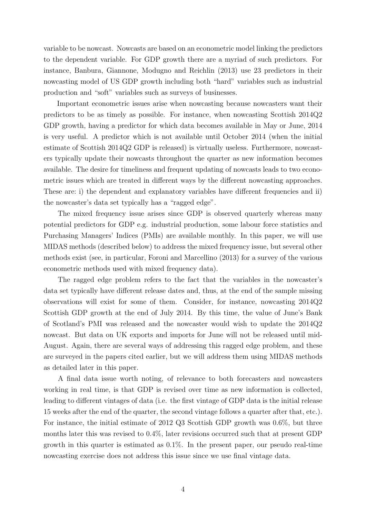variable to be nowcast. Nowcasts are based on an econometric model linking the predictors to the dependent variable. For GDP growth there are a myriad of such predictors. For instance, Banbura, Giannone, Modugno and Reichlin (2013) use 23 predictors in their nowcasting model of US GDP growth including both "hard" variables such as industrial production and "soft" variables such as surveys of businesses.

Important econometric issues arise when nowcasting because nowcasters want their predictors to be as timely as possible. For instance, when nowcasting Scottish 2014Q2 GDP growth, having a predictor for which data becomes available in May or June, 2014 is very useful. A predictor which is not available until October 2014 (when the initial estimate of Scottish 2014Q2 GDP is released) is virtually useless. Furthermore, nowcasters typically update their nowcasts throughout the quarter as new information becomes available. The desire for timeliness and frequent updating of nowcasts leads to two econometric issues which are treated in different ways by the different nowcasting approaches. These are: i) the dependent and explanatory variables have different frequencies and ii) the nowcaster's data set typically has a "ragged edge".

The mixed frequency issue arises since GDP is observed quarterly whereas many potential predictors for GDP e.g. industrial production, some labour force statistics and Purchasing Managers' Indices (PMIs) are available monthly. In this paper, we will use MIDAS methods (described below) to address the mixed frequency issue, but several other methods exist (see, in particular, Foroni and Marcellino (2013) for a survey of the various econometric methods used with mixed frequency data).

The ragged edge problem refers to the fact that the variables in the nowcaster's data set typically have different release dates and, thus, at the end of the sample missing observations will exist for some of them. Consider, for instance, nowcasting 2014Q2 Scottish GDP growth at the end of July 2014. By this time, the value of June's Bank of Scotland's PMI was released and the nowcaster would wish to update the 2014Q2 nowcast. But data on UK exports and imports for June will not be released until mid-August. Again, there are several ways of addressing this ragged edge problem, and these are surveyed in the papers cited earlier, but we will address them using MIDAS methods as detailed later in this paper.

A final data issue worth noting, of relevance to both forecasters and nowcasters working in real time, is that GDP is revised over time as new information is collected, leading to different vintages of data (i.e. the first vintage of GDP data is the initial release 15 weeks after the end of the quarter, the second vintage follows a quarter after that, etc.). For instance, the initial estimate of 2012 Q3 Scottish GDP growth was 0.6%, but three months later this was revised to 0.4%, later revisions occurred such that at present GDP growth in this quarter is estimated as 0.1%. In the present paper, our pseudo real-time nowcasting exercise does not address this issue since we use final vintage data.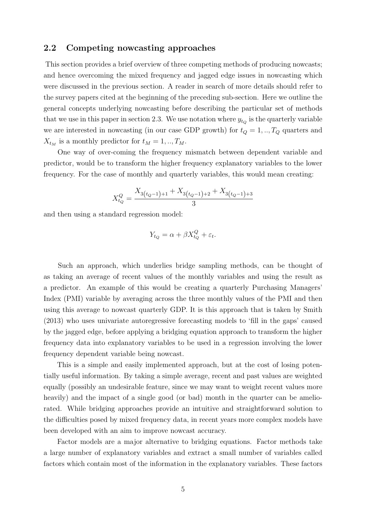#### 2.2 Competing nowcasting approaches

This section provides a brief overview of three competing methods of producing nowcasts; and hence overcoming the mixed frequency and jagged edge issues in nowcasting which were discussed in the previous section. A reader in search of more details should refer to the survey papers cited at the beginning of the preceding sub-section. Here we outline the general concepts underlying nowcasting before describing the particular set of methods that we use in this paper in section 2.3. We use notation where  $y_{t_Q}$  is the quarterly variable we are interested in nowcasting (in our case GDP growth) for  $t_Q = 1, \ldots, T_Q$  quarters and  $X_{t_M}$  is a monthly predictor for  $t_M = 1, ..., T_M$ .

One way of over-coming the frequency mismatch between dependent variable and predictor, would be to transform the higher frequency explanatory variables to the lower frequency. For the case of monthly and quarterly variables, this would mean creating:

$$
X_{t_Q}^Q = \frac{X_{3(t_Q-1)+1} + X_{3(t_Q-1)+2} + X_{3(t_Q-1)+3}}{3}
$$

and then using a standard regression model:

$$
Y_{t_Q} = \alpha + \beta X_{t_Q}^Q + \varepsilon_t.
$$

Such an approach, which underlies bridge sampling methods, can be thought of as taking an average of recent values of the monthly variables and using the result as a predictor. An example of this would be creating a quarterly Purchasing Managers' Index (PMI) variable by averaging across the three monthly values of the PMI and then using this average to nowcast quarterly GDP. It is this approach that is taken by Smith (2013) who uses univariate autoregressive forecasting models to 'fill in the gaps' caused by the jagged edge, before applying a bridging equation approach to transform the higher frequency data into explanatory variables to be used in a regression involving the lower frequency dependent variable being nowcast.

This is a simple and easily implemented approach, but at the cost of losing potentially useful information. By taking a simple average, recent and past values are weighted equally (possibly an undesirable feature, since we may want to weight recent values more heavily) and the impact of a single good (or bad) month in the quarter can be ameliorated. While bridging approaches provide an intuitive and straightforward solution to the difficulties posed by mixed frequency data, in recent years more complex models have been developed with an aim to improve nowcast accuracy.

Factor models are a major alternative to bridging equations. Factor methods take a large number of explanatory variables and extract a small number of variables called factors which contain most of the information in the explanatory variables. These factors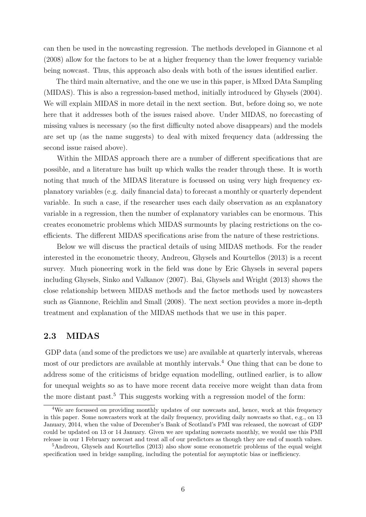can then be used in the nowcasting regression. The methods developed in Giannone et al (2008) allow for the factors to be at a higher frequency than the lower frequency variable being nowcast. Thus, this approach also deals with both of the issues identified earlier.

The third main alternative, and the one we use in this paper, is MIxed DAta Sampling (MIDAS). This is also a regression-based method, initially introduced by Ghysels (2004). We will explain MIDAS in more detail in the next section. But, before doing so, we note here that it addresses both of the issues raised above. Under MIDAS, no forecasting of missing values is necessary (so the first difficulty noted above disappears) and the models are set up (as the name suggests) to deal with mixed frequency data (addressing the second issue raised above).

Within the MIDAS approach there are a number of different specifications that are possible, and a literature has built up which walks the reader through these. It is worth noting that much of the MIDAS literature is focussed on using very high frequency explanatory variables (e.g. daily financial data) to forecast a monthly or quarterly dependent variable. In such a case, if the researcher uses each daily observation as an explanatory variable in a regression, then the number of explanatory variables can be enormous. This creates econometric problems which MIDAS surmounts by placing restrictions on the coefficients. The different MIDAS specifications arise from the nature of these restrictions.

Below we will discuss the practical details of using MIDAS methods. For the reader interested in the econometric theory, Andreou, Ghysels and Kourtellos (2013) is a recent survey. Much pioneering work in the field was done by Eric Ghysels in several papers including Ghysels, Sinko and Valkanov (2007). Bai, Ghysels and Wright (2013) shows the close relationship between MIDAS methods and the factor methods used by nowcasters such as Giannone, Reichlin and Small (2008). The next section provides a more in-depth treatment and explanation of the MIDAS methods that we use in this paper.

#### 2.3 MIDAS

GDP data (and some of the predictors we use) are available at quarterly intervals, whereas most of our predictors are available at monthly intervals.<sup>4</sup> One thing that can be done to address some of the criticisms of bridge equation modelling, outlined earlier, is to allow for unequal weights so as to have more recent data receive more weight than data from the more distant past.<sup>5</sup> This suggests working with a regression model of the form:

<sup>&</sup>lt;sup>4</sup>We are focussed on providing monthly updates of our nowcasts and, hence, work at this frequency in this paper. Some nowcasters work at the daily frequency, providing daily nowcasts so that, e.g., on 13 January, 2014, when the value of December's Bank of Scotland's PMI was released, the nowcast of GDP could be updated on 13 or 14 January. Given we are updating nowcasts monthly, we would use this PMI release in our 1 February nowcast and treat all of our predictors as though they are end of month values.

<sup>5</sup>Andreou, Ghysels and Kourtellos (2013) also show some econometric problems of the equal weight specification used in bridge sampling, including the potential for asymptotic bias or inefficiency.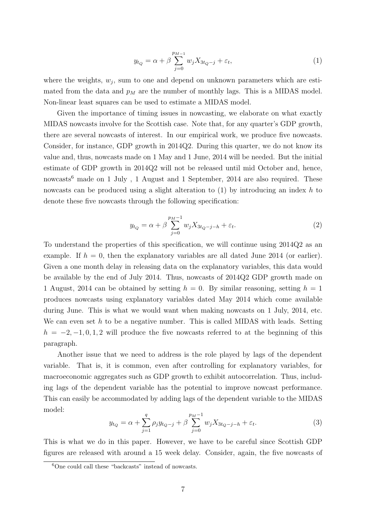$$
y_{t_Q} = \alpha + \beta \sum_{j=0}^{p_{M-1}} w_j X_{3t_Q - j} + \varepsilon_t,
$$
 (1)

where the weights,  $w_j$ , sum to one and depend on unknown parameters which are estimated from the data and  $p_M$  are the number of monthly lags. This is a MIDAS model. Non-linear least squares can be used to estimate a MIDAS model.

Given the importance of timing issues in nowcasting, we elaborate on what exactly MIDAS nowcasts involve for the Scottish case. Note that, for any quarter's GDP growth, there are several nowcasts of interest. In our empirical work, we produce five nowcasts. Consider, for instance, GDP growth in 2014Q2. During this quarter, we do not know its value and, thus, nowcasts made on 1 May and 1 June, 2014 will be needed. But the initial estimate of GDP growth in 2014Q2 will not be released until mid October and, hence, nowcasts<sup>6</sup> made on 1 July, 1 August and 1 September, 2014 are also required. These nowcasts can be produced using a slight alteration to  $(1)$  by introducing an index h to denote these five nowcasts through the following specification:

$$
y_{t_Q} = \alpha + \beta \sum_{j=0}^{p_M - 1} w_j X_{3t_Q - j - h} + \varepsilon_t.
$$
 (2)

To understand the properties of this specification, we will continue using 2014Q2 as an example. If  $h = 0$ , then the explanatory variables are all dated June 2014 (or earlier). Given a one month delay in releasing data on the explanatory variables, this data would be available by the end of July 2014. Thus, nowcasts of 2014Q2 GDP growth made on 1 August, 2014 can be obtained by setting  $h = 0$ . By similar reasoning, setting  $h = 1$ produces nowcasts using explanatory variables dated May 2014 which come available during June. This is what we would want when making nowcasts on 1 July, 2014, etc. We can even set h to be a negative number. This is called MIDAS with leads. Setting  $h = -2, -1, 0, 1, 2$  will produce the five nowcasts referred to at the beginning of this paragraph.

Another issue that we need to address is the role played by lags of the dependent variable. That is, it is common, even after controlling for explanatory variables, for macroeconomic aggregates such as GDP growth to exhibit autocorrelation. Thus, including lags of the dependent variable has the potential to improve nowcast performance. This can easily be accommodated by adding lags of the dependent variable to the MIDAS model:

$$
y_{t_Q} = \alpha + \sum_{j=1}^{q} \rho_j y_{t_Q - j} + \beta \sum_{j=0}^{p_M - 1} w_j X_{3t_Q - j - h} + \varepsilon_t.
$$
 (3)

This is what we do in this paper. However, we have to be careful since Scottish GDP figures are released with around a 15 week delay. Consider, again, the five nowcasts of

 ${}^{6}$ One could call these "backcasts" instead of nowcasts.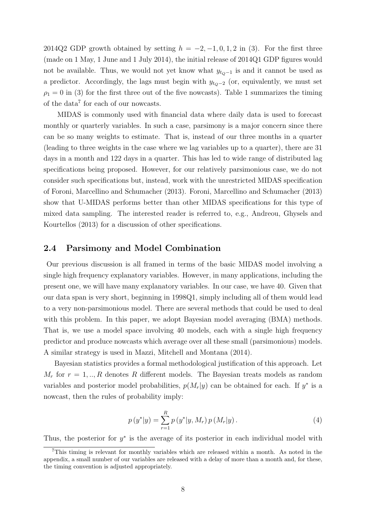2014Q2 GDP growth obtained by setting  $h = -2, -1, 0, 1, 2$  in (3). For the first three (made on 1 May, 1 June and 1 July 2014), the initial release of 2014Q1 GDP figures would not be available. Thus, we would not yet know what  $y_{t_Q-1}$  is and it cannot be used as a predictor. Accordingly, the lags must begin with  $y_{t_0-2}$  (or, equivalently, we must set  $\rho_1 = 0$  in (3) for the first three out of the five nowcasts). Table 1 summarizes the timing of the data<sup>7</sup> for each of our nowcasts.

MIDAS is commonly used with financial data where daily data is used to forecast monthly or quarterly variables. In such a case, parsimony is a major concern since there can be so many weights to estimate. That is, instead of our three months in a quarter (leading to three weights in the case where we lag variables up to a quarter), there are 31 days in a month and 122 days in a quarter. This has led to wide range of distributed lag specifications being proposed. However, for our relatively parsimonious case, we do not consider such specifications but, instead, work with the unrestricted MIDAS specification of Foroni, Marcellino and Schumacher (2013). Foroni, Marcellino and Schumacher (2013) show that U-MIDAS performs better than other MIDAS specifications for this type of mixed data sampling. The interested reader is referred to, e.g., Andreou, Ghysels and Kourtellos (2013) for a discussion of other specifications.

#### 2.4 Parsimony and Model Combination

Our previous discussion is all framed in terms of the basic MIDAS model involving a single high frequency explanatory variables. However, in many applications, including the present one, we will have many explanatory variables. In our case, we have 40. Given that our data span is very short, beginning in 1998Q1, simply including all of them would lead to a very non-parsimonious model. There are several methods that could be used to deal with this problem. In this paper, we adopt Bayesian model averaging  $(BMA)$  methods. That is, we use a model space involving 40 models, each with a single high frequency predictor and produce nowcasts which average over all these small (parsimonious) models. A similar strategy is used in Mazzi, Mitchell and Montana (2014).

Bayesian statistics provides a formal methodological justification of this approach. Let  $M_r$  for  $r = 1, \dots, R$  denotes R different models. The Bayesian treats models as random variables and posterior model probabilities,  $p(M_r|y)$  can be obtained for each. If  $y^*$  is a nowcast, then the rules of probability imply:

$$
p(y^*|y) = \sum_{r=1}^{R} p(y^*|y, M_r) p(M_r|y).
$$
 (4)

Thus, the posterior for  $y^*$  is the average of its posterior in each individual model with

<sup>7</sup>This timing is relevant for monthly variables which are released within a month. As noted in the appendix, a small number of our variables are released with a delay of more than a month and, for these, the timing convention is adjusted appropriately.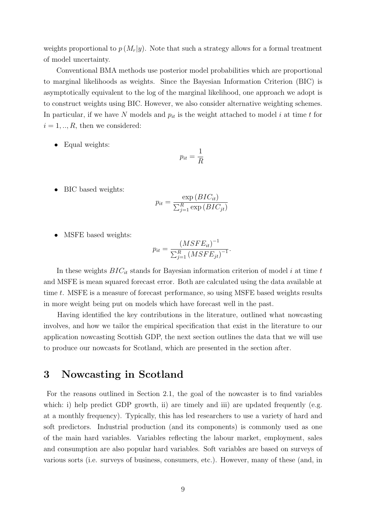weights proportional to  $p(M_r|y)$ . Note that such a strategy allows for a formal treatment of model uncertainty.

Conventional BMA methods use posterior model probabilities which are proportional to marginal likelihoods as weights. Since the Bayesian Information Criterion (BIC) is asymptotically equivalent to the log of the marginal likelihood, one approach we adopt is to construct weights using BIC. However, we also consider alternative weighting schemes. In particular, if we have N models and  $p_{it}$  is the weight attached to model i at time t for  $i = 1, ..., R$ , then we considered:

• Equal weights:

$$
p_{it} = \frac{1}{R}
$$

• BIC based weights:

$$
p_{it} = \frac{\exp(BIC_{it})}{\sum_{j=1}^{R} \exp(BIC_{jt})}
$$

• MSFE based weights:

$$
p_{it} = \frac{(MSFE_{it})^{-1}}{\sum_{j=1}^{R} (MSFE_{jt})^{-1}}.
$$

In these weights  $BIC_{it}$  stands for Bayesian information criterion of model i at time t and MSFE is mean squared forecast error. Both are calculated using the data available at time t. MSFE is a measure of forecast performance, so using MSFE based weights results in more weight being put on models which have forecast well in the past.

Having identified the key contributions in the literature, outlined what nowcasting involves, and how we tailor the empirical specification that exist in the literature to our application nowcasting Scottish GDP, the next section outlines the data that we will use to produce our nowcasts for Scotland, which are presented in the section after.

### 3 Nowcasting in Scotland

For the reasons outlined in Section 2.1, the goal of the nowcaster is to find variables which: i) help predict GDP growth, ii) are timely and iii) are updated frequently (e.g. at a monthly frequency). Typically, this has led researchers to use a variety of hard and soft predictors. Industrial production (and its components) is commonly used as one of the main hard variables. Variables reflecting the labour market, employment, sales and consumption are also popular hard variables. Soft variables are based on surveys of various sorts (i.e. surveys of business, consumers, etc.). However, many of these (and, in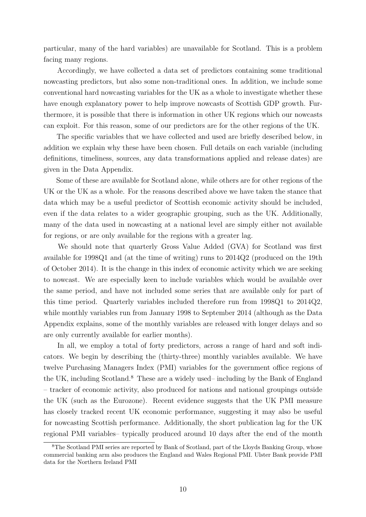particular, many of the hard variables) are unavailable for Scotland. This is a problem facing many regions.

Accordingly, we have collected a data set of predictors containing some traditional nowcasting predictors, but also some non-traditional ones. In addition, we include some conventional hard nowcasting variables for the UK as a whole to investigate whether these have enough explanatory power to help improve nowcasts of Scottish GDP growth. Furthermore, it is possible that there is information in other UK regions which our nowcasts can exploit. For this reason, some of our predictors are for the other regions of the UK.

The specific variables that we have collected and used are briefly described below, in addition we explain why these have been chosen. Full details on each variable (including definitions, timeliness, sources, any data transformations applied and release dates) are given in the Data Appendix.

Some of these are available for Scotland alone, while others are for other regions of the UK or the UK as a whole. For the reasons described above we have taken the stance that data which may be a useful predictor of Scottish economic activity should be included, even if the data relates to a wider geographic grouping, such as the UK. Additionally, many of the data used in nowcasting at a national level are simply either not available for regions, or are only available for the regions with a greater lag.

We should note that quarterly Gross Value Added (GVA) for Scotland was first available for 1998Q1 and (at the time of writing) runs to 2014Q2 (produced on the 19th of October 2014). It is the change in this index of economic activity which we are seeking to nowcast. We are especially keen to include variables which would be available over the same period, and have not included some series that are available only for part of this time period. Quarterly variables included therefore run from 1998Q1 to 2014Q2, while monthly variables run from January 1998 to September 2014 (although as the Data Appendix explains, some of the monthly variables are released with longer delays and so are only currently available for earlier months).

In all, we employ a total of forty predictors, across a range of hard and soft indicators. We begin by describing the (thirty-three) monthly variables available. We have twelve Purchasing Managers Index (PMI) variables for the government office regions of the UK, including Scotland.<sup>8</sup> These are a widely used– including by the Bank of England – tracker of economic activity, also produced for nations and national groupings outside the UK (such as the Eurozone). Recent evidence suggests that the UK PMI measure has closely tracked recent UK economic performance, suggesting it may also be useful for nowcasting Scottish performance. Additionally, the short publication lag for the UK regional PMI variables– typically produced around 10 days after the end of the month

<sup>&</sup>lt;sup>8</sup>The Scotland PMI series are reported by Bank of Scotland, part of the Lloyds Banking Group, whose commercial banking arm also produces the England and Wales Regional PMI. Ulster Bank provide PMI data for the Northern Ireland PMI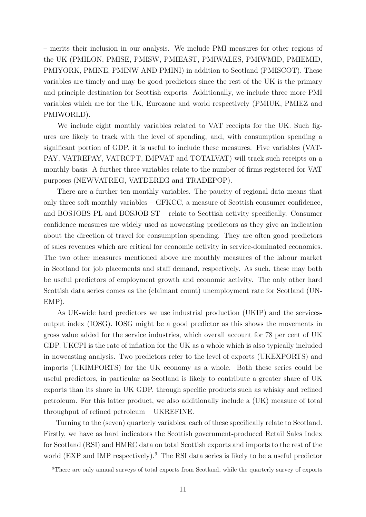– merits their inclusion in our analysis. We include PMI measures for other regions of the UK (PMILON, PMISE, PMISW, PMIEAST, PMIWALES, PMIWMID, PMIEMID, PMIYORK, PMINE, PMINW AND PMINI) in addition to Scotland (PMISCOT). These variables are timely and may be good predictors since the rest of the UK is the primary and principle destination for Scottish exports. Additionally, we include three more PMI variables which are for the UK, Eurozone and world respectively (PMIUK, PMIEZ and PMIWORLD).

We include eight monthly variables related to VAT receipts for the UK. Such figures are likely to track with the level of spending, and, with consumption spending a significant portion of GDP, it is useful to include these measures. Five variables (VAT-PAY, VATREPAY, VATRCPT, IMPVAT and TOTALVAT) will track such receipts on a monthly basis. A further three variables relate to the number of firms registered for VAT purposes (NEWVATREG, VATDEREG and TRADEPOP).

There are a further ten monthly variables. The paucity of regional data means that only three soft monthly variables – GFKCC, a measure of Scottish consumer confidence, and BOSJOBS PL and BOSJOB ST – relate to Scottish activity specifically. Consumer confidence measures are widely used as nowcasting predictors as they give an indication about the direction of travel for consumption spending. They are often good predictors of sales revenues which are critical for economic activity in service-dominated economies. The two other measures mentioned above are monthly measures of the labour market in Scotland for job placements and staff demand, respectively. As such, these may both be useful predictors of employment growth and economic activity. The only other hard Scottish data series comes as the (claimant count) unemployment rate for Scotland (UN-EMP).

As UK-wide hard predictors we use industrial production (UKIP) and the servicesoutput index (IOSG). IOSG might be a good predictor as this shows the movements in gross value added for the service industries, which overall account for 78 per cent of UK GDP. UKCPI is the rate of inflation for the UK as a whole which is also typically included in nowcasting analysis. Two predictors refer to the level of exports (UKEXPORTS) and imports (UKIMPORTS) for the UK economy as a whole. Both these series could be useful predictors, in particular as Scotland is likely to contribute a greater share of UK exports than its share in UK GDP, through specific products such as whisky and refined petroleum. For this latter product, we also additionally include a (UK) measure of total throughput of refined petroleum – UKREFINE.

Turning to the (seven) quarterly variables, each of these specifically relate to Scotland. Firstly, we have as hard indicators the Scottish government-produced Retail Sales Index for Scotland (RSI) and HMRC data on total Scottish exports and imports to the rest of the world (EXP and IMP respectively).<sup>9</sup> The RSI data series is likely to be a useful predictor

<sup>&</sup>lt;sup>9</sup>There are only annual surveys of total exports from Scotland, while the quarterly survey of exports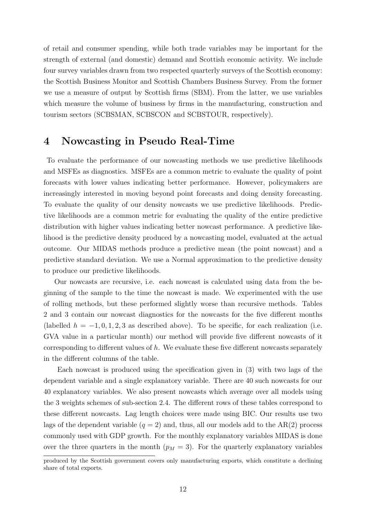of retail and consumer spending, while both trade variables may be important for the strength of external (and domestic) demand and Scottish economic activity. We include four survey variables drawn from two respected quarterly surveys of the Scottish economy: the Scottish Business Monitor and Scottish Chambers Business Survey. From the former we use a measure of output by Scottish firms (SBM). From the latter, we use variables which measure the volume of business by firms in the manufacturing, construction and tourism sectors (SCBSMAN, SCBSCON and SCBSTOUR, respectively).

# 4 Nowcasting in Pseudo Real-Time

To evaluate the performance of our nowcasting methods we use predictive likelihoods and MSFEs as diagnostics. MSFEs are a common metric to evaluate the quality of point forecasts with lower values indicating better performance. However, policymakers are increasingly interested in moving beyond point forecasts and doing density forecasting. To evaluate the quality of our density nowcasts we use predictive likelihoods. Predictive likelihoods are a common metric for evaluating the quality of the entire predictive distribution with higher values indicating better nowcast performance. A predictive likelihood is the predictive density produced by a nowcasting model, evaluated at the actual outcome. Our MIDAS methods produce a predictive mean (the point nowcast) and a predictive standard deviation. We use a Normal approximation to the predictive density to produce our predictive likelihoods.

Our nowcasts are recursive, i.e. each nowcast is calculated using data from the beginning of the sample to the time the nowcast is made. We experimented with the use of rolling methods, but these performed slightly worse than recursive methods. Tables 2 and 3 contain our nowcast diagnostics for the nowcasts for the five different months (labelled  $h = -1, 0, 1, 2, 3$  as described above). To be specific, for each realization (i.e. GVA value in a particular month) our method will provide five different nowcasts of it corresponding to different values of h. We evaluate these five different nowcasts separately in the different columns of the table.

Each nowcast is produced using the specification given in (3) with two lags of the dependent variable and a single explanatory variable. There are 40 such nowcasts for our 40 explanatory variables. We also present nowcasts which average over all models using the 3 weights schemes of sub-section 2.4. The different rows of these tables correspond to these different nowcasts. Lag length choices were made using BIC. Our results use two lags of the dependent variable  $(q = 2)$  and, thus, all our models add to the AR(2) process commonly used with GDP growth. For the monthly explanatory variables MIDAS is done over the three quarters in the month  $(p_M = 3)$ . For the quarterly explanatory variables

produced by the Scottish government covers only manufacturing exports, which constitute a declining share of total exports.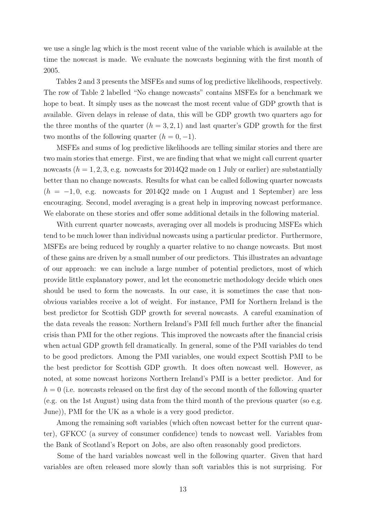we use a single lag which is the most recent value of the variable which is available at the time the nowcast is made. We evaluate the nowcasts beginning with the first month of 2005.

Tables 2 and 3 presents the MSFEs and sums of log predictive likelihoods, respectively. The row of Table 2 labelled "No change nowcasts" contains MSFEs for a benchmark we hope to beat. It simply uses as the nowcast the most recent value of GDP growth that is available. Given delays in release of data, this will be GDP growth two quarters ago for the three months of the quarter  $(h = 3, 2, 1)$  and last quarter's GDP growth for the first two months of the following quarter  $(h = 0, -1)$ .

MSFEs and sums of log predictive likelihoods are telling similar stories and there are two main stories that emerge. First, we are finding that what we might call current quarter nowcasts  $(h = 1, 2, 3, e.g.$  nowcasts for  $2014Q2$  made on 1 July or earlier) are substantially better than no change nowcasts. Results for what can be called following quarter nowcasts  $(h = -1, 0, e.g.$  nowcasts for 2014Q2 made on 1 August and 1 September) are less encouraging. Second, model averaging is a great help in improving nowcast performance. We elaborate on these stories and offer some additional details in the following material.

With current quarter nowcasts, averaging over all models is producing MSFEs which tend to be much lower than individual nowcasts using a particular predictor. Furthermore, MSFEs are being reduced by roughly a quarter relative to no change nowcasts. But most of these gains are driven by a small number of our predictors. This illustrates an advantage of our approach: we can include a large number of potential predictors, most of which provide little explanatory power, and let the econometric methodology decide which ones should be used to form the nowcasts. In our case, it is sometimes the case that nonobvious variables receive a lot of weight. For instance, PMI for Northern Ireland is the best predictor for Scottish GDP growth for several nowcasts. A careful examination of the data reveals the reason: Northern Ireland's PMI fell much further after the financial crisis than PMI for the other regions. This improved the nowcasts after the financial crisis when actual GDP growth fell dramatically. In general, some of the PMI variables do tend to be good predictors. Among the PMI variables, one would expect Scottish PMI to be the best predictor for Scottish GDP growth. It does often nowcast well. However, as noted, at some nowcast horizons Northern Ireland's PMI is a better predictor. And for  $h = 0$  (i.e. nowcasts released on the first day of the second month of the following quarter (e.g. on the 1st August) using data from the third month of the previous quarter (so e.g. June)), PMI for the UK as a whole is a very good predictor.

Among the remaining soft variables (which often nowcast better for the current quarter), GFKCC (a survey of consumer confidence) tends to nowcast well. Variables from the Bank of Scotland's Report on Jobs, are also often reasonably good predictors.

Some of the hard variables nowcast well in the following quarter. Given that hard variables are often released more slowly than soft variables this is not surprising. For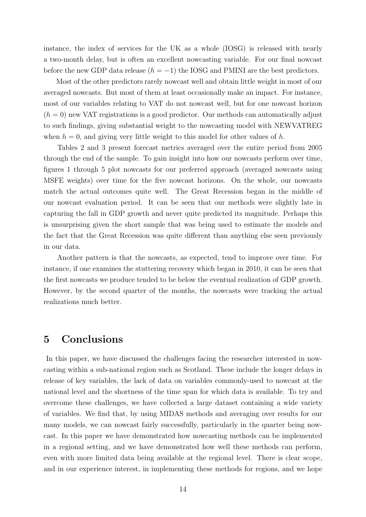instance, the index of services for the UK as a whole (IOSG) is released with nearly a two-month delay, but is often an excellent nowcasting variable. For our final nowcast before the new GDP data release  $(h = -1)$  the IOSG and PMINI are the best predictors.

Most of the other predictors rarely nowcast well and obtain little weight in most of our averaged nowcasts. But most of them at least occasionally make an impact. For instance, most of our variables relating to VAT do not nowcast well, but for one nowcast horizon  $(h = 0)$  new VAT registrations is a good predictor. Our methods can automatically adjust to such findings, giving substantial weight to the nowcasting model with NEWVATREG when  $h = 0$ , and giving very little weight to this model for other values of h.

Tables 2 and 3 present forecast metrics averaged over the entire period from 2005 through the end of the sample. To gain insight into how our nowcasts perform over time, figures 1 through 5 plot nowcasts for our preferred approach (averaged nowcasts using MSFE weights) over time for the five nowcast horizons. On the whole, our nowcasts match the actual outcomes quite well. The Great Recession began in the middle of our nowcast evaluation period. It can be seen that our methods were slightly late in capturing the fall in GDP growth and never quite predicted its magnitude. Perhaps this is unsurprising given the short sample that was being used to estimate the models and the fact that the Great Recession was quite different than anything else seen previously in our data.

Another pattern is that the nowcasts, as expected, tend to improve over time. For instance, if one examines the stuttering recovery which began in 2010, it can be seen that the first nowcasts we produce tended to be below the eventual realization of GDP growth. However, by the second quarter of the months, the nowcasts were tracking the actual realizations much better.

### 5 Conclusions

In this paper, we have discussed the challenges facing the researcher interested in nowcasting within a sub-national region such as Scotland. These include the longer delays in release of key variables, the lack of data on variables commonly-used to nowcast at the national level and the shortness of the time span for which data is available. To try and overcome these challenges, we have collected a large dataset containing a wide variety of variables. We find that, by using MIDAS methods and averaging over results for our many models, we can nowcast fairly successfully, particularly in the quarter being nowcast. In this paper we have demonstrated how nowcasting methods can be implemented in a regional setting, and we have demonstrated how well these methods can perform, even with more limited data being available at the regional level. There is clear scope, and in our experience interest, in implementing these methods for regions, and we hope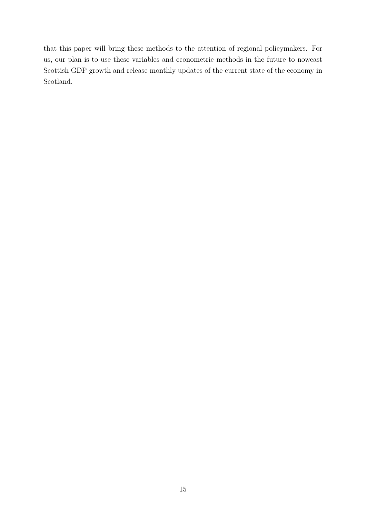that this paper will bring these methods to the attention of regional policymakers. For us, our plan is to use these variables and econometric methods in the future to nowcast Scottish GDP growth and release monthly updates of the current state of the economy in Scotland.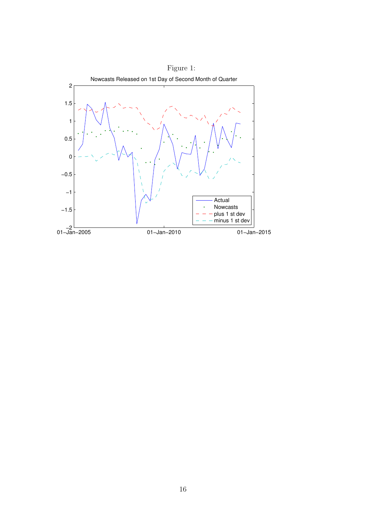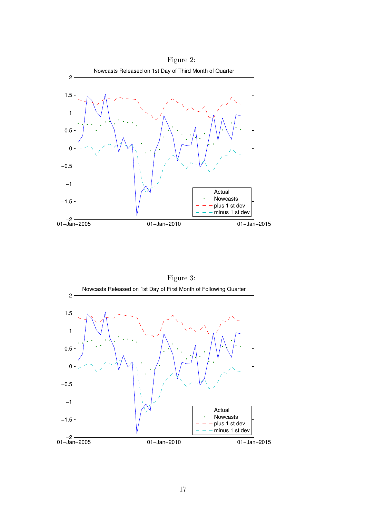

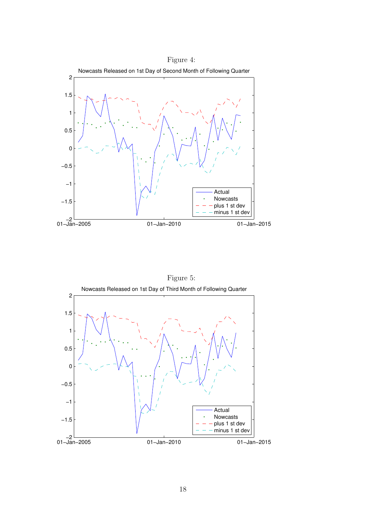

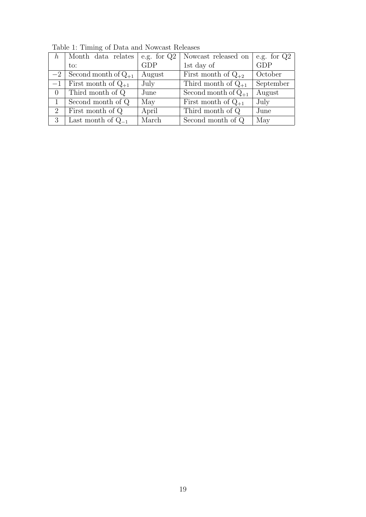| $h_{-}$  | Month data relates   e.g. for $Q2$ |            | Nowcast released on      | e.g. for $Q2$ |
|----------|------------------------------------|------------|--------------------------|---------------|
|          | to:                                | <b>GDP</b> | 1st day of               | <b>GDP</b>    |
| $-2$     | Second month of $Q_{+1}$           | August     | First month of $Q_{+2}$  | October       |
|          | $-1$ First month of $Q_{+1}$       | July       | Third month of $Q_{+1}$  | September     |
| $\theta$ | Third month of Q                   | June       | Second month of $Q_{+1}$ | August        |
|          | Second month of Q                  | May        | First month of $Q_{+1}$  | July          |
| 2        | First month of Q                   | April      | Third month of Q         | June          |
| 3        | Last month of $Q_{-1}$             | March      | Second month of Q        | May           |

Table 1: Timing of Data and Nowcast Releases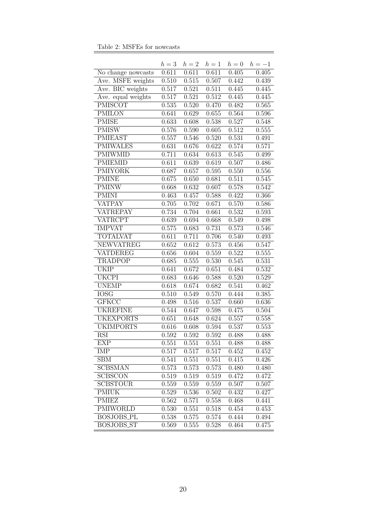|  |  |  | Table 2: MSFEs for nowcasts |
|--|--|--|-----------------------------|
|--|--|--|-----------------------------|

|                         | $h=3$ | $h=2$ | $h=1$ | $h=0$ | $h=-1$ |
|-------------------------|-------|-------|-------|-------|--------|
| No change nowcasts      | 0.611 | 0.611 | 0.611 | 0.405 | 0.405  |
| Ave. MSFE weights       | 0.510 | 0.515 | 0.507 | 0.442 | 0.439  |
| Ave. BIC weights        | 0.517 | 0.521 | 0.511 | 0.445 | 0.445  |
| Ave. equal weights      | 0.517 | 0.521 | 0.512 | 0.445 | 0.445  |
| <b>PMISCOT</b>          | 0.535 | 0.520 | 0.470 | 0.482 | 0.565  |
| <b>PMILON</b>           | 0.641 | 0.629 | 0.655 | 0.564 | 0.596  |
| <b>PMISE</b>            | 0.633 | 0.608 | 0.538 | 0.527 | 0.548  |
| <b>PMISW</b>            | 0.576 | 0.590 | 0.605 | 0.512 | 0.555  |
| <b>PMIEAST</b>          | 0.557 | 0.546 | 0.520 | 0.531 | 0.491  |
| <b>PMIWALES</b>         | 0.631 | 0.676 | 0.622 | 0.574 | 0.571  |
| PMIWMID                 | 0.711 | 0.634 | 0.613 | 0.545 | 0.499  |
| <b>PMIEMID</b>          | 0.611 | 0.639 | 0.619 | 0.507 | 0.486  |
| <b>PMIYORK</b>          | 0.687 | 0.657 | 0.595 | 0.550 | 0.556  |
| <b>PMINE</b>            | 0.675 | 0.650 | 0.681 | 0.511 | 0.545  |
| <b>PMINW</b>            | 0.668 | 0.632 | 0.607 | 0.578 | 0.542  |
| <b>PMINI</b>            | 0.463 | 0.457 | 0.588 | 0.422 | 0.366  |
| <b>VATPAY</b>           | 0.705 | 0.702 | 0.671 | 0.570 | 0.586  |
| <b>VATREPAY</b>         | 0.734 | 0.704 | 0.661 | 0.532 | 0.593  |
| <b>VATRCPT</b>          | 0.639 | 0.694 | 0.668 | 0.549 | 0.498  |
| <b>IMPVAT</b>           | 0.575 | 0.683 | 0.731 | 0.573 | 0.546  |
| <b>TOTALVAT</b>         | 0.611 | 0.711 | 0.706 | 0.540 | 0.493  |
| <b>NEWVATREG</b>        | 0.652 | 0.612 | 0.573 | 0.456 | 0.547  |
| VATDEREG                | 0.656 | 0.604 | 0.559 | 0.522 | 0.555  |
| TRADPOP                 | 0.685 | 0.555 | 0.530 | 0.545 | 0.531  |
| <b>UKIP</b>             | 0.641 | 0.672 | 0.651 | 0.484 | 0.532  |
| <b>UKCPI</b>            | 0.683 | 0.646 | 0.588 | 0.520 | 0.529  |
| <b>UNEMP</b>            | 0.618 | 0.674 | 0.682 | 0.541 | 0.462  |
| <b>IOSG</b>             | 0.510 | 0.549 | 0.570 | 0.444 | 0.385  |
| <b>GFKCC</b>            | 0.498 | 0.516 | 0.537 | 0.660 | 0.636  |
| <b>UKREFINE</b>         | 0.544 | 0.647 | 0.598 | 0.475 | 0.504  |
| <b>UKEXPORTS</b>        | 0.651 | 0.648 | 0.624 | 0.557 | 0.558  |
| <b>UKIMPORTS</b>        | 0.616 | 0.608 | 0.594 | 0.537 | 0.553  |
| $\overline{\text{RSI}}$ | 0.592 | 0.592 | 0.592 | 0.488 | 0.488  |
| <b>EXP</b>              | 0.551 | 0.551 | 0.551 | 0.488 | 0.488  |
| <b>IMP</b>              | 0.517 | 0.517 | 0.517 | 0.452 | 0.452  |
| <b>SBM</b>              | 0.541 | 0.551 | 0.551 | 0.415 | 0.426  |
| <b>SCBSMAN</b>          | 0.573 | 0.573 | 0.573 | 0.480 | 0.480  |
| <b>SCBSCON</b>          | 0.519 | 0.519 | 0.519 | 0.472 | 0.472  |
| <b>SCBSTOUR</b>         | 0.559 | 0.559 | 0.559 | 0.507 | 0.507  |
| <b>PMIUK</b>            | 0.529 | 0.536 | 0.502 | 0.432 | 0.427  |
| <b>PMIEZ</b>            | 0.562 | 0.571 | 0.558 | 0.468 | 0.441  |
| <b>PMIWORLD</b>         | 0.530 | 0.551 | 0.518 | 0.454 | 0.453  |
| <b>BOSJOBS_PL</b>       | 0.538 | 0.575 | 0.574 | 0.444 | 0.494  |
| BOSJOBS_ST              | 0.569 | 0.555 | 0.528 | 0.464 | 0.475  |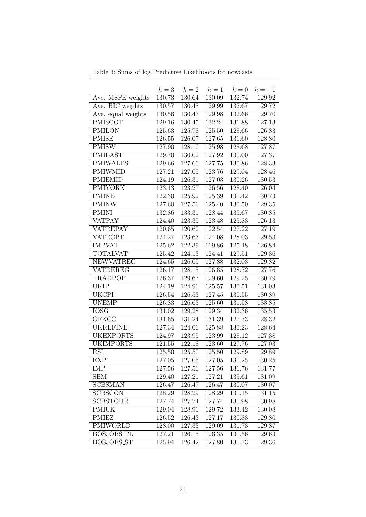Table 3: Sums of log Predictive Likelihoods for nowcasts

|                         |        |                     | $h = 3$ $h = 2$ $h = 1$ $h = 0$ $h = -1$ |        |        |
|-------------------------|--------|---------------------|------------------------------------------|--------|--------|
| Ave. MSFE weights       | 130.73 | 130.64              | 130.09                                   | 132.74 | 129.92 |
| Ave. BIC weights        | 130.57 | 130.48              | 129.99                                   | 132.67 | 129.72 |
| Ave. equal weights      | 130.56 | 130.47              | 129.98                                   | 132.66 | 129.70 |
| <b>PMISCOT</b>          | 129.16 | 130.45              | 132.24                                   | 131.88 | 127.13 |
| <b>PMILON</b>           | 125.63 | 125.78              | 125.50                                   | 128.66 | 126.83 |
| <b>PMISE</b>            | 126.55 | 126.07              | 127.65                                   | 131.60 | 128.80 |
| <b>PMISW</b>            | 127.90 | 128.10              | 125.98                                   | 128.68 | 127.87 |
| <b>PMIEAST</b>          | 129.70 | 130.02              | 127.92                                   | 130.00 | 127.37 |
| <b>PMIWALES</b>         | 129.66 | 127.60              | 127.75                                   | 130.86 | 128.33 |
| <b>PMIWMID</b>          | 127.21 | 127.05              | 123.76                                   | 129.04 | 128.46 |
| <b>PMIEMID</b>          | 124.19 | 126.31              | 127.03                                   | 130.26 | 130.53 |
| <b>PMIYORK</b>          | 123.13 | 123.27              | 126.56                                   | 128.40 | 126.04 |
| <b>PMINE</b>            | 122.30 | 125.92              | 125.39                                   | 131.42 | 130.73 |
| <b>PMINW</b>            | 127.60 | 127.56              | 125.40                                   | 130.50 | 129.35 |
| <b>PMINI</b>            | 132.86 | 133.31              | 128.44                                   | 135.67 | 130.85 |
| <b>VATPAY</b>           | 124.40 | 123.35              | 123.48                                   | 125.83 | 126.13 |
| <b>VATREPAY</b>         | 120.65 | 120.62              | 122.54                                   | 127.22 | 127.19 |
| <b>VATRCPT</b>          | 124.27 | 123.63              | 124.08                                   | 128.03 | 129.53 |
| <b>IMPVAT</b>           | 125.62 | 122.39              | 119.86                                   | 125.48 | 126.84 |
| <b>TOTALVAT</b>         | 125.42 | 124.13              | 124.41                                   | 129.51 | 129.36 |
| <b>NEWVATREG</b>        | 124.65 | 126.05              | 127.88                                   | 132.03 | 129.82 |
| <b>VATDEREG</b>         | 126.17 | 128.15              | 126.85                                   | 128.72 | 127.76 |
| TRADPOP                 | 126.37 | 129.67              | 129.60                                   | 129.25 | 130.79 |
| <b>UKIP</b>             | 124.18 | 124.96              | 125.57                                   | 130.51 | 131.03 |
| <b>UKCPI</b>            | 126.54 | 126.53              | 127.45                                   | 130.55 | 130.89 |
| <b>UNEMP</b>            | 126.83 | 126.63              | 125.60                                   | 131.58 | 133.85 |
| <b>IOSG</b>             | 131.02 | 129.28              | 129.34                                   | 132.36 | 135.53 |
| <b>GFKCC</b>            | 131.65 | 131.24              | 131.39                                   | 127.73 | 128.32 |
| <b>UKREFINE</b>         | 127.34 | 124.06              | 125.88                                   | 130.23 | 128.64 |
| <b>UKEXPORTS</b>        | 124.97 | 123.95              | 123.99                                   | 128.12 | 127.38 |
| <b>UKIMPORTS</b>        | 121.55 | 122.18              | 123.60                                   | 127.76 | 127.03 |
| $\overline{\text{RSI}}$ | 125.50 | 125.50              | 125.50                                   | 129.89 | 129.89 |
| <b>EXP</b>              | 127.05 | 127.05              | 127.05                                   | 130.25 | 130.25 |
| IMP                     | 127.56 | 127.56              | 127.56                                   | 131.76 | 131.77 |
| <b>SBM</b>              | 129.40 | 127.21              | 127.21                                   | 135.61 | 131.09 |
| <b>SCBSMAN</b>          | 126.47 | 126.47              | 126.47                                   | 130.07 | 130.07 |
| <b>SCBSCON</b>          | 128.29 | 128.29              | 128.29                                   | 131.15 | 131.15 |
| <b>SCBSTOUR</b>         | 127.74 | 127.74              | 127.74                                   | 130.98 | 130.98 |
| <b>PMIUK</b>            | 129.04 | 128.91              | 129.72                                   | 133.42 | 130.08 |
| <b>PMIEZ</b>            | 126.52 | 126.43              | 127.17                                   | 130.83 | 129.80 |
| <b>PMIWORLD</b>         | 128.00 | 127.33              | 129.09                                   | 131.73 | 129.87 |
| BOSJOBS_PL              | 127.21 | $\overline{1}26.15$ | 126.35                                   | 131.56 | 129.63 |
| BOSJOBS_ST              | 125.94 | 126.42              | 127.80                                   | 130.73 | 129.36 |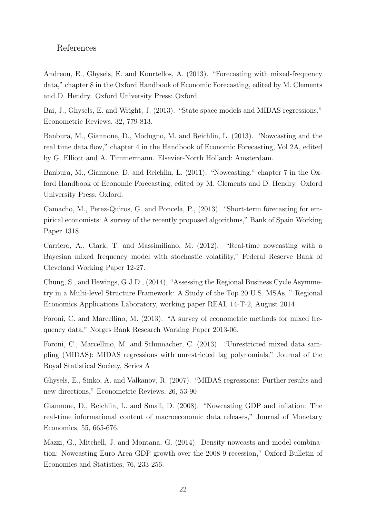#### References

Andreou, E., Ghysels, E. and Kourtellos, A. (2013). "Forecasting with mixed-frequency data," chapter 8 in the Oxford Handbook of Economic Forecasting, edited by M. Clements and D. Hendry. Oxford University Press: Oxford.

Bai, J., Ghysels, E. and Wright, J. (2013). "State space models and MIDAS regressions," Econometric Reviews, 32, 779-813.

Banbura, M., Giannone, D., Modugno, M. and Reichlin, L. (2013). "Nowcasting and the real time data flow," chapter 4 in the Handbook of Economic Forecasting, Vol 2A, edited by G. Elliott and A. Timmermann. Elsevier-North Holland: Amsterdam.

Banbura, M., Giannone, D. and Reichlin, L. (2011). "Nowcasting," chapter 7 in the Oxford Handbook of Economic Forecasting, edited by M. Clements and D. Hendry. Oxford University Press: Oxford.

Camacho, M., Perez-Quiros, G. and Poncela, P., (2013). "Short-term forecasting for empirical economists: A survey of the recently proposed algorithms," Bank of Spain Working Paper 1318.

Carriero, A., Clark, T. and Massimiliano, M. (2012). "Real-time nowcasting with a Bayesian mixed frequency model with stochastic volatility," Federal Reserve Bank of Cleveland Working Paper 12-27.

Chung, S., and Hewings, G.J.D., (2014), "Assessing the Regional Business Cycle Asymmetry in a Multi-level Structure Framework: A Study of the Top 20 U.S. MSAs, " Regional Economics Applications Laboratory, working paper REAL 14-T-2, August 2014

Foroni, C. and Marcellino, M. (2013). "A survey of econometric methods for mixed frequency data," Norges Bank Research Working Paper 2013-06.

Foroni, C., Marcellino, M. and Schumacher, C. (2013). "Unrestricted mixed data sampling (MIDAS): MIDAS regressions with unrestricted lag polynomials," Journal of the Royal Statistical Society, Series A

Ghysels, E., Sinko, A. and Valkanov, R. (2007). "MIDAS regressions: Further results and new directions," Econometric Reviews, 26, 53-90

Giannone, D., Reichlin, L. and Small, D. (2008). "Nowcasting GDP and inflation: The real-time informational content of macroeconomic data releases," Journal of Monetary Economics, 55, 665-676.

Mazzi, G., Mitchell, J. and Montana, G. (2014). Density nowcasts and model combination: Nowcasting Euro-Area GDP growth over the 2008-9 recession," Oxford Bulletin of Economics and Statistics, 76, 233-256.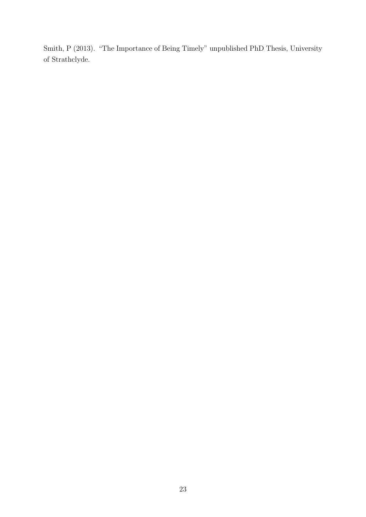Smith, P (2013). "The Importance of Being Timely" unpublished PhD Thesis, University of Strathclyde.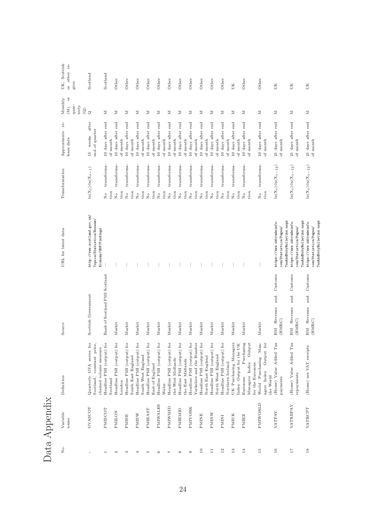| ĵ |  |
|---|--|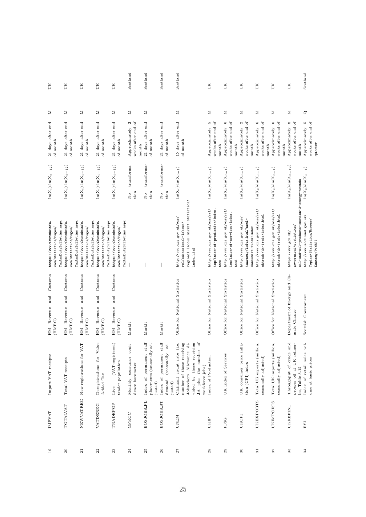| 19              | <b>IMPVAT</b>   | Import VAT receipts                                                                                                                                           | Revenue<br>HM                                | Customs<br>and | https://www.uktradeinfo                                                                                   | $\ln(X_t)$ -ln $(X_{t-12})$                   | 21 days after end                                                             | Z      | UК       |
|-----------------|-----------------|---------------------------------------------------------------------------------------------------------------------------------------------------------------|----------------------------------------------|----------------|-----------------------------------------------------------------------------------------------------------|-----------------------------------------------|-------------------------------------------------------------------------------|--------|----------|
|                 |                 |                                                                                                                                                               | (HMRC)                                       |                | TaxAndDutyBulletins.aspx<br>com/Statistics/Pages/                                                         |                                               | of month                                                                      |        |          |
| $20\,$          | <b>TOTALVAT</b> | Total VAT receipts                                                                                                                                            | HM Revenue<br>(HMRC)                         | Customs<br>and | TaxAndDutyBulletins.aspx<br>https://www.uktradeinfo<br>com/Statistics/Pages/                              | $\ln(X_t) - \ln(X_{t-12})$                    | 21 days after end<br>of month                                                 | Σ      | UК       |
| $\overline{21}$ | NEWVATREG       | New registrations for VAT                                                                                                                                     | Revenue<br>(HMRC)<br>HM                      | Customs<br>and | TaxAndDutyBulletins.aspx<br>https://www.uktradeinfo.<br>com/Statistics/Pages/                             | $\ln(X_t) - \ln(X_{t-12})$                    | $_{\rm end}$<br>21 days after<br>$_{\rm of\; month}$                          | z      | UК       |
| $^{22}$         | VATDEREG        | Deregistrations for Value<br>Added Tax                                                                                                                        | HM Revenue<br>(HMRC)                         | Customs<br>and | TaxAndDutyBulletins.aspx<br>https://www.uktradeinfo<br>com/Statistics/Pages/                              | $\ln(\mathbf{X}_t)$ -ln $(\mathbf{X}_{t-12})$ | 21 days after end<br>of month                                                 | z      | UК       |
| $\sqrt{23}$     | TRADEPOP        | (VAT-registered)<br>trader population<br>Live                                                                                                                 | HM Revenue<br>(HMRC)                         | Customs<br>and | TaxAndDutyBulletins.aspx<br>https://www.uktradeinfo.<br>com/Statistics/Pages/                             | $\ln(X_t) - \ln(X_{t-12})$                    | 21 days after end<br>of month                                                 | Z      | UК       |
| 24              | GFKCC           | consumer confi-<br>dence barometer<br>Monthly                                                                                                                 | Markit                                       |                |                                                                                                           | transforma-<br>tion<br>$\frac{1}{2}$          | weeks after end of<br>Z<br>Approximately<br>$\quad$ month                     | Z      | Scotland |
| 25              | BOSJOBS_PL      | Index of permanent staff<br>placements (seasonally ad-<br>justed)                                                                                             | Markit                                       |                |                                                                                                           | transforma-<br>tion<br>$\rm _{No}^{\circ}$    | 21 days after end<br>of month                                                 | $\geq$ | Scotland |
| 26              | BOSJOBS_ST      | aff<br>$\frac{1}{a}$<br>£,<br>Index of permanent<br>(seasonally<br>demand<br>justed)                                                                          | Markit                                       |                |                                                                                                           | transforma-<br>tion<br>$\frac{1}{2}$          | 21 days after end<br>of month                                                 |        | Scotland |
| $27\,$          | <b>NEND</b>     | vided by those receiving<br>Claimant count rate (i.e.<br>number of those receiving<br>ŧ<br>ð<br>JA plus the number<br>Jobseekers Allowance<br>workforce jobs) | Office for National Statistics               |                | regional-labour-market-statistics,<br>http://www.ons.gov.uk/ons/<br>rel/subnational-labour/<br>index.html | $\ln(X_t)$ -ln $(X_{t-1})$                    | 15 days after end<br>of month                                                 | Σ      | Scotland |
| $^{28}$         | UKIP            | Index of Production                                                                                                                                           | Office for National Statistics               |                | http://www.ons.gov.uk/ons/rel/<br>iop/index-of-production/index<br>htm <sub>1</sub>                       | $\ln(X_t) - \ln(X_{t-1})$                     | $\delta$<br>r.<br>weeks after end<br>Approximately<br>$m$ onth                | z      | UК       |
| $^{29}$         | <b>IOSG</b>     | UK Index of Services                                                                                                                                          | Office for National Statistics               |                | http://www.ons.gov.uk/ons/rel/<br>ios/index-of-services/index.<br>htm <sub>1</sub>                        | $\ln(X_t) - \ln(X_{t-1})$                     | $\delta$<br>$\circ$<br>weeks after end<br>Approximately<br>month              | Σ      | UК       |
| $\overline{30}$ | <b>UKCPI</b>    | UK consumer price infla-<br>tion (CPI) index                                                                                                                  | Office for National Statistics               |                | http://www.ons.gov.uk/ons/<br>taxonomy/index.html?nscl=<br>Consumer+Prices+Index                          | $\ln(X_t) - \ln(X_{t-1})$                     | ð<br>$\mathfrak{a}$<br>weeks after end<br>Approximately<br>$m$ onth           | Σ      | UК       |
| 51              | UKEXPORTS       | Total UK exports (million,<br>seasonally adjusted)                                                                                                            | Office for National Statistics               |                | http://www.ons.gov.uk/ons/rel/<br>uktrade/uk-trade/index.html                                             | $\ln(X_t)$ -ln $(X_{t-1})$                    | $\circ$<br>$\circ f$<br>weeks after end<br>Approximately<br>$\bf{month}$      | Z      | UK       |
| 32              | UKIMPORTS       | Total UK imports (million,<br>seasonally adjusted)                                                                                                            | Office for National Statistics               |                | http://www.ons.gov.uk/ons/rel/<br>uktrade/uk-trade/index.html                                             | $\ln(X_t) - \ln(X_{t-1})$                     | $\rm ^{of}$<br>$^{\circ}$<br>weeks after end<br>Approximately<br>$\bf{month}$ | Z      | UК       |
| 33              | UKREFINE        | and<br>$er -$<br>process oil at UK refin<br>Throughput of crude<br>ies, Table 3.12                                                                            | Department of Energy and Cli-<br>mate Change |                | oil-and-oil-products-section-3-energy-trends<br>government/statistics/<br>https://www.gov.uk/             | $\ln(X_t) - \ln(X_{t-12})$                    | $\sigma$<br>${}^{\circ}$<br>weeks after end<br>Approximately<br>$m$ onth      | Z      | UК       |
| 34              | RSI             | $\frac{1}{\zeta}$<br>P<br>Index of retail sales<br>ume at basic prices                                                                                        | Scottish Government                          |                | http://www.scotland.gov.uk/<br>Topics/Statistics/Browse/<br>Economy/PubRSI                                | $\ln(X_t) - \ln(X_{t-1})$                     | $\circ^{\text{f}}$<br>ю<br>weeks after end<br>Approximately<br>quarter        | G      | Scotland |